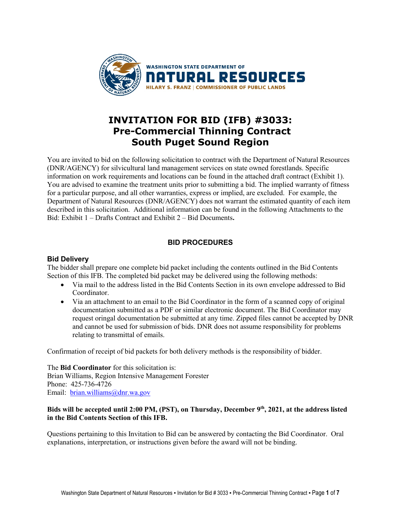

# **INVITATION FOR BID (IFB) #3033: Pre-Commercial Thinning Contract South Puget Sound Region**

You are invited to bid on the following solicitation to contract with the Department of Natural Resources (DNR/AGENCY) for silvicultural land management services on state owned forestlands. Specific information on work requirements and locations can be found in the attached draft contract (Exhibit 1). You are advised to examine the treatment units prior to submitting a bid. The implied warranty of fitness for a particular purpose, and all other warranties, express or implied, are excluded. For example, the Department of Natural Resources (DNR/AGENCY) does not warrant the estimated quantity of each item described in this solicitation. Additional information can be found in the following Attachments to the Bid: Exhibit 1 – Drafts Contract and Exhibit 2 – Bid Documents**.**

## **BID PROCEDURES**

## **Bid Delivery**

The bidder shall prepare one complete bid packet including the contents outlined in the Bid Contents Section of this IFB. The completed bid packet may be delivered using the following methods:

- Via mail to the address listed in the Bid Contents Section in its own envelope addressed to Bid Coordinator.
- Via an attachment to an email to the Bid Coordinator in the form of a scanned copy of original documentation submitted as a PDF or similar electronic document. The Bid Coordinator may request oringal documentation be submitted at any time. Zipped files cannot be accepted by DNR and cannot be used for submission of bids. DNR does not assume responsibility for problems relating to transmittal of emails.

Confirmation of receipt of bid packets for both delivery methods is the responsibility of bidder.

The **Bid Coordinator** for this solicitation is: Brian Williams, Region Intensive Management Forester Phone: 425-736-4726 Email: [brian.williams@dnr.wa.gov](mailto:brian.williams@dnr.wa.gov)

## **Bids will be accepted until 2:00 PM, (PST), on Thursday, December 9th, 2021, at the address listed in the Bid Contents Section of this IFB.**

Questions pertaining to this Invitation to Bid can be answered by contacting the Bid Coordinator. Oral explanations, interpretation, or instructions given before the award will not be binding.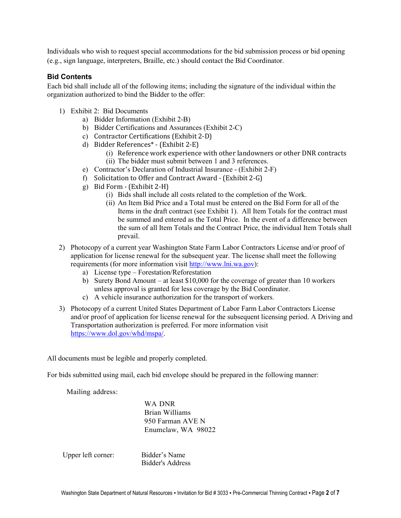Individuals who wish to request special accommodations for the bid submission process or bid opening (e.g., sign language, interpreters, Braille, etc.) should contact the Bid Coordinator.

## **Bid Contents**

Each bid shall include all of the following items; including the signature of the individual within the organization authorized to bind the Bidder to the offer:

- 1) Exhibit 2: Bid Documents
	- a) Bidder Information (Exhibit 2-B)
	- b) Bidder Certifications and Assurances (Exhibit 2-C)
	- c) Contractor Certifications (Exhibit 2-D)
	- d) Bidder References\* (Exhibit 2-E)
		- (i) Reference work experience with other landowners or other DNR contracts (ii) The bidder must submit between 1 and 3 references.
	- e) Contractor's Declaration of Industrial Insurance (Exhibit 2-F)
	- f) Solicitation to Offer and Contract Award (Exhibit 2-G)
	- g) Bid Form (Exhibit 2-H)
		- (i) Bids shall include all costs related to the completion of the Work.
		- (ii) An Item Bid Price and a Total must be entered on the Bid Form for all of the Items in the draft contract (see Exhibit 1). All Item Totals for the contract must be summed and entered as the Total Price. In the event of a difference between the sum of all Item Totals and the Contract Price, the individual Item Totals shall prevail.
- 2) Photocopy of a current year Washington State Farm Labor Contractors License and/or proof of application for license renewal for the subsequent year. The license shall meet the following requirements (for more information visit [http://www.lni.wa.gov\)](http://www.lni.wa.gov/):
	- a) License type Forestation/Reforestation
	- b) Surety Bond Amount at least \$10,000 for the coverage of greater than 10 workers unless approval is granted for less coverage by the Bid Coordinator.
	- c) A vehicle insurance authorization for the transport of workers.
- 3) Photocopy of a current United States Department of Labor Farm Labor Contractors License and/or proof of application for license renewal for the subsequent licensing period. A Driving and Transportation authorization is preferred. For more information visit [https://www.dol.gov/whd/mspa/.](https://www.dol.gov/whd/mspa/)

All documents must be legible and properly completed.

For bids submitted using mail, each bid envelope should be prepared in the following manner:

Mailing address:

WA DNR Brian Williams 950 Farman AVE N Enumclaw, WA 98022

Upper left corner: Bidder's Name

Bidder's Address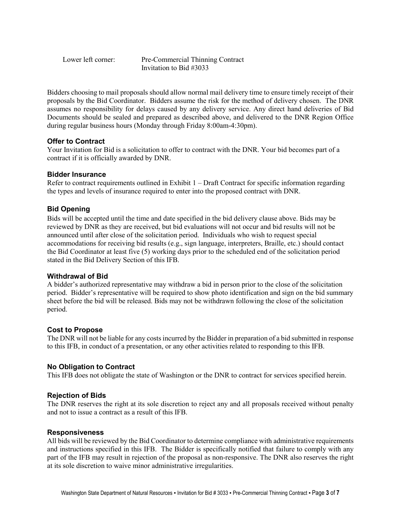Lower left corner: Pre-Commercial Thinning Contract Invitation to Bid #3033

Bidders choosing to mail proposals should allow normal mail delivery time to ensure timely receipt of their proposals by the Bid Coordinator. Bidders assume the risk for the method of delivery chosen. The DNR assumes no responsibility for delays caused by any delivery service. Any direct hand deliveries of Bid Documents should be sealed and prepared as described above, and delivered to the DNR Region Office during regular business hours (Monday through Friday 8:00am-4:30pm).

## **Offer to Contract**

Your Invitation for Bid is a solicitation to offer to contract with the DNR. Your bid becomes part of a contract if it is officially awarded by DNR.

## **Bidder Insurance**

Refer to contract requirements outlined in Exhibit  $1 - \text{Draft Contract for specific information regarding}$ the types and levels of insurance required to enter into the proposed contract with DNR.

## **Bid Opening**

Bids will be accepted until the time and date specified in the bid delivery clause above. Bids may be reviewed by DNR as they are received, but bid evaluations will not occur and bid results will not be announced until after close of the solicitation period. Individuals who wish to request special accommodations for receiving bid results (e.g., sign language, interpreters, Braille, etc.) should contact the Bid Coordinator at least five (5) working days prior to the scheduled end of the solicitation period stated in the Bid Delivery Section of this IFB.

## **Withdrawal of Bid**

A bidder's authorized representative may withdraw a bid in person prior to the close of the solicitation period. Bidder's representative will be required to show photo identification and sign on the bid summary sheet before the bid will be released. Bids may not be withdrawn following the close of the solicitation period.

## **Cost to Propose**

The DNR will not be liable for any costs incurred by the Bidder in preparation of a bid submitted in response to this IFB, in conduct of a presentation, or any other activities related to responding to this IFB.

#### **No Obligation to Contract**

This IFB does not obligate the state of Washington or the DNR to contract for services specified herein.

#### **Rejection of Bids**

The DNR reserves the right at its sole discretion to reject any and all proposals received without penalty and not to issue a contract as a result of this IFB.

#### **Responsiveness**

All bids will be reviewed by the Bid Coordinator to determine compliance with administrative requirements and instructions specified in this IFB. The Bidder is specifically notified that failure to comply with any part of the IFB may result in rejection of the proposal as non-responsive. The DNR also reserves the right at its sole discretion to waive minor administrative irregularities.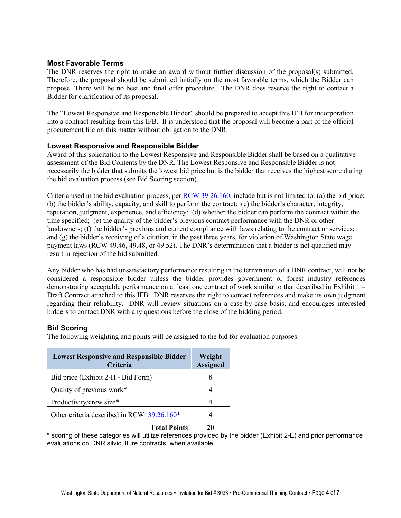## **Most Favorable Terms**

The DNR reserves the right to make an award without further discussion of the proposal(s) submitted. Therefore, the proposal should be submitted initially on the most favorable terms, which the Bidder can propose. There will be no best and final offer procedure. The DNR does reserve the right to contact a Bidder for clarification of its proposal.

The "Lowest Responsive and Responsible Bidder" should be prepared to accept this IFB for incorporation into a contract resulting from this IFB. It is understood that the proposal will become a part of the official procurement file on this matter without obligation to the DNR.

#### **Lowest Responsive and Responsible Bidder**

Award of this solicitation to the Lowest Responsive and Responsible Bidder shall be based on a qualitative assessment of the Bid Contents by the DNR. The Lowest Responsive and Responsible Bidder is not necessarily the bidder that submits the lowest bid price but is the bidder that receives the highest score during the bid evaluation process (see Bid Scoring section).

Criteria used in the bid evaluation process, per [RCW 39.26.160,](http://apps.leg.wa.gov/rcw/default.aspx?cite=39.26.160) include but is not limited to: (a) the bid price; (b) the bidder's ability, capacity, and skill to perform the contract; (c) the bidder's character, integrity, reputation, judgment, experience, and efficiency; (d) whether the bidder can perform the contract within the time specified; (e) the quality of the bidder's previous contract performance with the DNR or other landowners; (f) the bidder's previous and current compliance with laws relating to the contract or services; and (g) the bidder's receiving of a citation, in the past three years, for violation of Washington State wage payment laws (RCW 49.46, 49.48, or 49.52). The DNR's determination that a bidder is not qualified may result in rejection of the bid submitted.

Any bidder who has had unsatisfactory performance resulting in the termination of a DNR contract, will not be considered a responsible bidder unless the bidder provides government or forest industry references demonstrating acceptable performance on at least one contract of work similar to that described in Exhibit 1 – Draft Contract attached to this IFB. DNR reserves the right to contact references and make its own judgment regarding their reliability. DNR will review situations on a case-by-case basis, and encourages interested bidders to contact DNR with any questions before the close of the bidding period.

## **Bid Scoring**

The following weighting and points will be assigned to the bid for evaluation purposes:

| <b>Lowest Responsive and Responsible Bidder</b><br>Criteria | Weight<br><b>Assigned</b> |  |
|-------------------------------------------------------------|---------------------------|--|
| Bid price (Exhibit 2-H - Bid Form)                          |                           |  |
| Quality of previous work*                                   |                           |  |
| Productivity/crew size*                                     |                           |  |
| Other criteria described in RCW 39.26.160*                  |                           |  |
| <b>Total Points</b><br>$\cdot$<br><br>.                     | 20<br>. .<br>. .          |  |

**\*** scoring of these categories will utilize references provided by the bidder (Exhibit 2-E) and prior performance evaluations on DNR silviculture contracts, when available.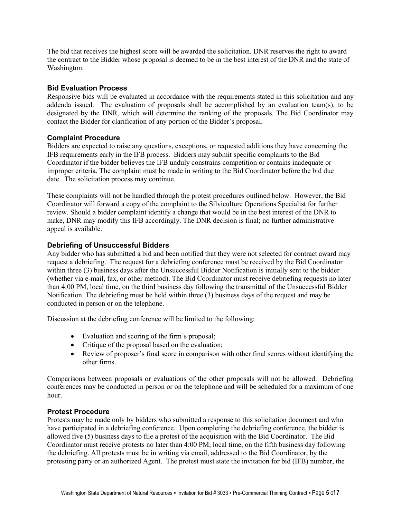The bid that receives the highest score will be awarded the solicitation. DNR reserves the right to award the contract to the Bidder whose proposal is deemed to be in the best interest of the DNR and the state of Washington.

#### **Bid Evaluation Process**

Responsive bids will be evaluated in accordance with the requirements stated in this solicitation and any addenda issued. The evaluation of proposals shall be accomplished by an evaluation team(s), to be designated by the DNR, which will determine the ranking of the proposals. The Bid Coordinator may contact the Bidder for clarification of any portion of the Bidder's proposal.

## **Complaint Procedure**

Bidders are expected to raise any questions, exceptions, or requested additions they have concerning the IFB requirements early in the IFB process. Bidders may submit specific complaints to the Bid Coordinator if the bidder believes the IFB unduly constrains competition or contains inadequate or improper criteria. The complaint must be made in writing to the Bid Coordinator before the bid due date. The solicitation process may continue.

These complaints will not be handled through the protest procedures outlined below. However, the Bid Coordinator will forward a copy of the complaint to the Silviculture Operations Specialist for further review. Should a bidder complaint identify a change that would be in the best interest of the DNR to make, DNR may modify this IFB accordingly. The DNR decision is final; no further administrative appeal is available.

## **Debriefing of Unsuccessful Bidders**

Any bidder who has submitted a bid and been notified that they were not selected for contract award may request a debriefing. The request for a debriefing conference must be received by the Bid Coordinator within three (3) business days after the Unsuccessful Bidder Notification is initially sent to the bidder (whether via e-mail, fax, or other method). The Bid Coordinator must receive debriefing requests no later than 4:00 PM, local time, on the third business day following the transmittal of the Unsuccessful Bidder Notification. The debriefing must be held within three (3) business days of the request and may be conducted in person or on the telephone.

Discussion at the debriefing conference will be limited to the following:

- Evaluation and scoring of the firm's proposal;
- Critique of the proposal based on the evaluation;
- Review of proposer's final score in comparison with other final scores without identifying the other firms.

Comparisons between proposals or evaluations of the other proposals will not be allowed. Debriefing conferences may be conducted in person or on the telephone and will be scheduled for a maximum of one hour.

#### **Protest Procedure**

Protests may be made only by bidders who submitted a response to this solicitation document and who have participated in a debriefing conference. Upon completing the debriefing conference, the bidder is allowed five (5) business days to file a protest of the acquisition with the Bid Coordinator. The Bid Coordinator must receive protests no later than 4:00 PM, local time, on the fifth business day following the debriefing. All protests must be in writing via email, addressed to the Bid Coordinator, by the protesting party or an authorized Agent. The protest must state the invitation for bid (IFB) number, the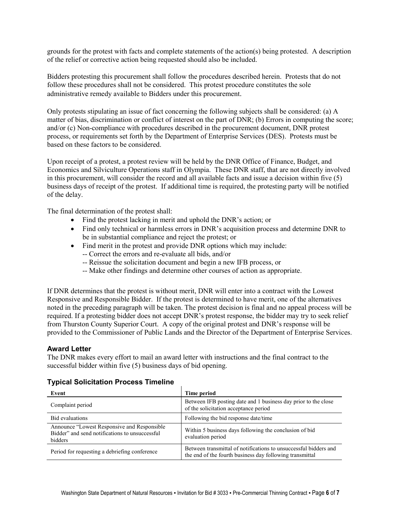grounds for the protest with facts and complete statements of the action(s) being protested. A description of the relief or corrective action being requested should also be included.

Bidders protesting this procurement shall follow the procedures described herein. Protests that do not follow these procedures shall not be considered. This protest procedure constitutes the sole administrative remedy available to Bidders under this procurement.

Only protests stipulating an issue of fact concerning the following subjects shall be considered: (a) A matter of bias, discrimination or conflict of interest on the part of DNR; (b) Errors in computing the score; and/or (c) Non-compliance with procedures described in the procurement document, DNR protest process, or requirements set forth by the Department of Enterprise Services (DES). Protests must be based on these factors to be considered.

Upon receipt of a protest, a protest review will be held by the DNR Office of Finance, Budget, and Economics and Silviculture Operations staff in Olympia. These DNR staff, that are not directly involved in this procurement, will consider the record and all available facts and issue a decision within five (5) business days of receipt of the protest. If additional time is required, the protesting party will be notified of the delay.

The final determination of the protest shall:

- Find the protest lacking in merit and uphold the DNR's action; or
- Find only technical or harmless errors in DNR's acquisition process and determine DNR to be in substantial compliance and reject the protest; or
- Find merit in the protest and provide DNR options which may include:
	- -- Correct the errors and re-evaluate all bids, and/or
	- -- Reissue the solicitation document and begin a new IFB process, or
	- -- Make other findings and determine other courses of action as appropriate.

If DNR determines that the protest is without merit, DNR will enter into a contract with the Lowest Responsive and Responsible Bidder. If the protest is determined to have merit, one of the alternatives noted in the preceding paragraph will be taken. The protest decision is final and no appeal process will be required. If a protesting bidder does not accept DNR's protest response, the bidder may try to seek relief from Thurston County Superior Court. A copy of the original protest and DNR's response will be provided to the Commissioner of Public Lands and the Director of the Department of Enterprise Services.

## **Award Letter**

The DNR makes every effort to mail an award letter with instructions and the final contract to the successful bidder within five (5) business days of bid opening.

#### **Typical Solicitation Process Timeline**

| Event                                                                                                     | Time period                                                                                                                  |
|-----------------------------------------------------------------------------------------------------------|------------------------------------------------------------------------------------------------------------------------------|
| Complaint period                                                                                          | Between IFB posting date and 1 business day prior to the close<br>of the solicitation acceptance period                      |
| <b>Bid evaluations</b>                                                                                    | Following the bid response date/time                                                                                         |
| Announce "Lowest Responsive and Responsible"<br>Bidder" and send notifications to unsuccessful<br>bidders | Within 5 business days following the conclusion of bid<br>evaluation period                                                  |
| Period for requesting a debriefing conference                                                             | Between transmittal of notifications to unsuccessful bidders and<br>the end of the fourth business day following transmittal |